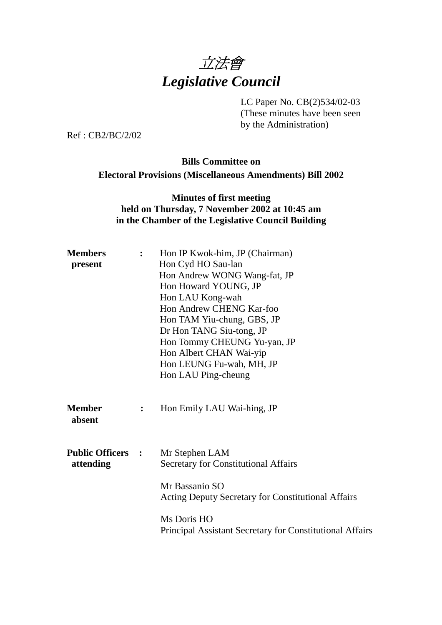

LC Paper No. CB(2)534/02-03

(These minutes have been seen by the Administration)

Ref : CB2/BC/2/02

# **Bills Committee on Electoral Provisions (Miscellaneous Amendments) Bill 2002**

#### **Minutes of first meeting held on Thursday, 7 November 2002 at 10:45 am in the Chamber of the Legislative Council Building**

| <b>Members</b><br>$\ddot{\cdot}$<br>present |                        | Hon IP Kwok-him, JP (Chairman)<br>Hon Cyd HO Sau-lan<br>Hon Andrew WONG Wang-fat, JP<br>Hon Howard YOUNG, JP<br>Hon LAU Kong-wah<br>Hon Andrew CHENG Kar-foo<br>Hon TAM Yiu-chung, GBS, JP<br>Dr Hon TANG Siu-tong, JP<br>Hon Tommy CHEUNG Yu-yan, JP<br>Hon Albert CHAN Wai-yip<br>Hon LEUNG Fu-wah, MH, JP |
|---------------------------------------------|------------------------|--------------------------------------------------------------------------------------------------------------------------------------------------------------------------------------------------------------------------------------------------------------------------------------------------------------|
|                                             |                        | Hon LAU Ping-cheung                                                                                                                                                                                                                                                                                          |
| <b>Member</b><br>absent                     | : $\ddot{\phantom{a}}$ | Hon Emily LAU Wai-hing, JP                                                                                                                                                                                                                                                                                   |
| <b>Public Officers :</b><br>attending       |                        | Mr Stephen LAM<br><b>Secretary for Constitutional Affairs</b>                                                                                                                                                                                                                                                |
|                                             |                        | Mr Bassanio SO<br><b>Acting Deputy Secretary for Constitutional Affairs</b>                                                                                                                                                                                                                                  |
|                                             |                        | Ms Doris HO<br>Principal Assistant Secretary for Constitutional Affairs                                                                                                                                                                                                                                      |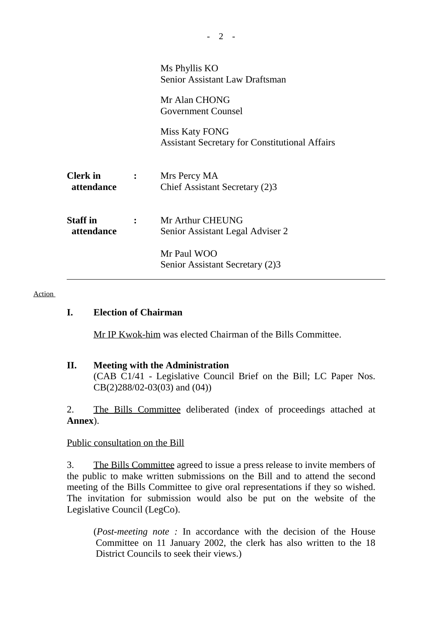|                               | Ms Phyllis KO<br>Senior Assistant Law Draftsman                         |  |
|-------------------------------|-------------------------------------------------------------------------|--|
|                               | Mr Alan CHONG<br><b>Government Counsel</b>                              |  |
|                               | Miss Katy FONG<br><b>Assistant Secretary for Constitutional Affairs</b> |  |
| <b>Clerk</b> in<br>attendance | Mrs Percy MA<br>Chief Assistant Secretary (2)3                          |  |
| <b>Staff</b> in<br>attendance | Mr Arthur CHEUNG<br>Senior Assistant Legal Adviser 2                    |  |
|                               | Mr Paul WOO<br>Senior Assistant Secretary (2)3                          |  |

#### Action

#### **I. Election of Chairman**

Mr IP Kwok-him was elected Chairman of the Bills Committee.

#### **II. Meeting with the Administration** (CAB C1/41 - Legislative Council Brief on the Bill; LC Paper Nos. CB(2)288/02-03(03) and (04))

2. The Bills Committee deliberated (index of proceedings attached at **Annex**).

#### Public consultation on the Bill

3. The Bills Committee agreed to issue a press release to invite members of the public to make written submissions on the Bill and to attend the second meeting of the Bills Committee to give oral representations if they so wished. The invitation for submission would also be put on the website of the Legislative Council (LegCo).

(*Post-meeting note :* In accordance with the decision of the House Committee on 11 January 2002, the clerk has also written to the 18 District Councils to seek their views.)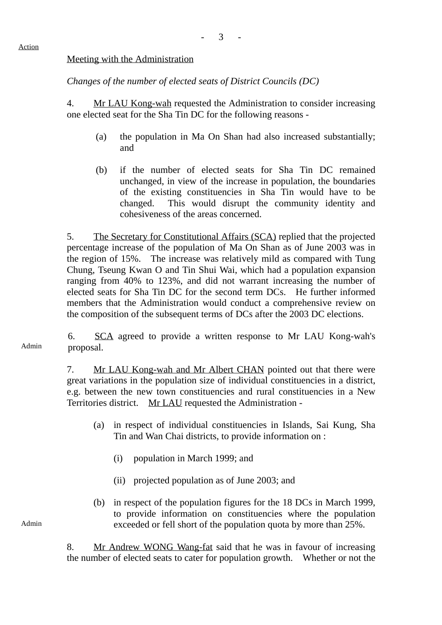### Meeting with the Administration

*Changes of the number of elected seats of District Councils (DC)*

4. Mr LAU Kong-wah requested the Administration to consider increasing one elected seat for the Sha Tin DC for the following reasons -

- (a) the population in Ma On Shan had also increased substantially; and
- (b) if the number of elected seats for Sha Tin DC remained unchanged, in view of the increase in population, the boundaries of the existing constituencies in Sha Tin would have to be changed. This would disrupt the community identity and cohesiveness of the areas concerned.

5. The Secretary for Constitutional Affairs (SCA) replied that the projected percentage increase of the population of Ma On Shan as of June 2003 was in the region of 15%. The increase was relatively mild as compared with Tung Chung, Tseung Kwan O and Tin Shui Wai, which had a population expansion ranging from 40% to 123%, and did not warrant increasing the number of elected seats for Sha Tin DC for the second term DCs. He further informed members that the Administration would conduct a comprehensive review on the composition of the subsequent terms of DCs after the 2003 DC elections.

Admin 6. SCA agreed to provide a written response to Mr LAU Kong-wah's proposal.

> 7. Mr LAU Kong-wah and Mr Albert CHAN pointed out that there were great variations in the population size of individual constituencies in a district, e.g. between the new town constituencies and rural constituencies in a New Territories district. Mr LAU requested the Administration -

- (a) in respect of individual constituencies in Islands, Sai Kung, Sha Tin and Wan Chai districts, to provide information on :
	- (i) population in March 1999; and
	- (ii) projected population as of June 2003; and
- (b) in respect of the population figures for the 18 DCs in March 1999, to provide information on constituencies where the population exceeded or fell short of the population quota by more than 25%.

8. Mr Andrew WONG Wang-fat said that he was in favour of increasing the number of elected seats to cater for population growth. Whether or not the

Admin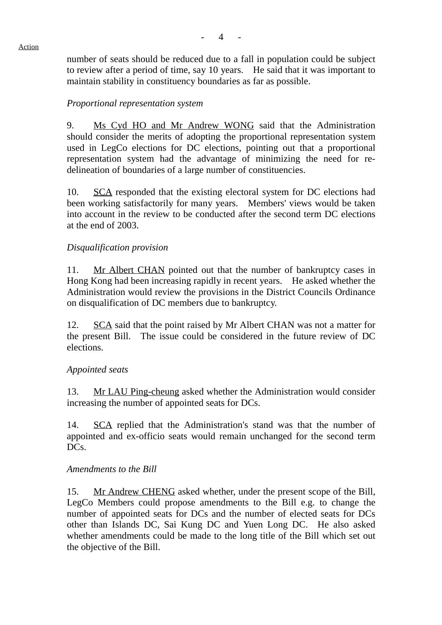

number of seats should be reduced due to a fall in population could be subject to review after a period of time, say 10 years. He said that it was important to maintain stability in constituency boundaries as far as possible.

## *Proportional representation system*

9. Ms Cyd HO and Mr Andrew WONG said that the Administration should consider the merits of adopting the proportional representation system used in LegCo elections for DC elections, pointing out that a proportional representation system had the advantage of minimizing the need for redelineation of boundaries of a large number of constituencies.

10. SCA responded that the existing electoral system for DC elections had been working satisfactorily for many years. Members' views would be taken into account in the review to be conducted after the second term DC elections at the end of 2003.

### *Disqualification provision*

11. Mr Albert CHAN pointed out that the number of bankruptcy cases in Hong Kong had been increasing rapidly in recent years. He asked whether the Administration would review the provisions in the District Councils Ordinance on disqualification of DC members due to bankruptcy.

12. SCA said that the point raised by Mr Albert CHAN was not a matter for the present Bill. The issue could be considered in the future review of DC elections.

### *Appointed seats*

13. Mr LAU Ping-cheung asked whether the Administration would consider increasing the number of appointed seats for DCs.

14. SCA replied that the Administration's stand was that the number of appointed and ex-officio seats would remain unchanged for the second term DC<sub>s</sub>.

### *Amendments to the Bill*

15. Mr Andrew CHENG asked whether, under the present scope of the Bill, LegCo Members could propose amendments to the Bill e.g. to change the number of appointed seats for DCs and the number of elected seats for DCs other than Islands DC, Sai Kung DC and Yuen Long DC. He also asked whether amendments could be made to the long title of the Bill which set out the objective of the Bill.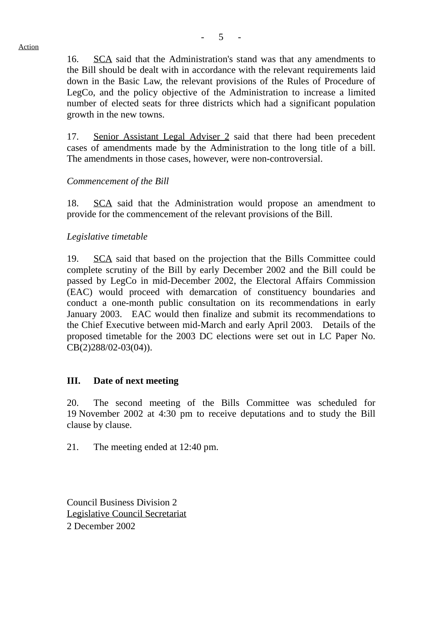16. SCA said that the Administration's stand was that any amendments to the Bill should be dealt with in accordance with the relevant requirements laid down in the Basic Law, the relevant provisions of the Rules of Procedure of LegCo, and the policy objective of the Administration to increase a limited number of elected seats for three districts which had a significant population growth in the new towns.

17. Senior Assistant Legal Adviser 2 said that there had been precedent cases of amendments made by the Administration to the long title of a bill. The amendments in those cases, however, were non-controversial.

### *Commencement of the Bill*

18. SCA said that the Administration would propose an amendment to provide for the commencement of the relevant provisions of the Bill.

### *Legislative timetable*

19. SCA said that based on the projection that the Bills Committee could complete scrutiny of the Bill by early December 2002 and the Bill could be passed by LegCo in mid-December 2002, the Electoral Affairs Commission (EAC) would proceed with demarcation of constituency boundaries and conduct a one-month public consultation on its recommendations in early January 2003. EAC would then finalize and submit its recommendations to the Chief Executive between mid-March and early April 2003. Details of the proposed timetable for the 2003 DC elections were set out in LC Paper No. CB(2)288/02-03(04)).

### **III. Date of next meeting**

20. The second meeting of the Bills Committee was scheduled for 19 November 2002 at 4:30 pm to receive deputations and to study the Bill clause by clause.

21. The meeting ended at 12:40 pm.

Council Business Division 2 Legislative Council Secretariat 2 December 2002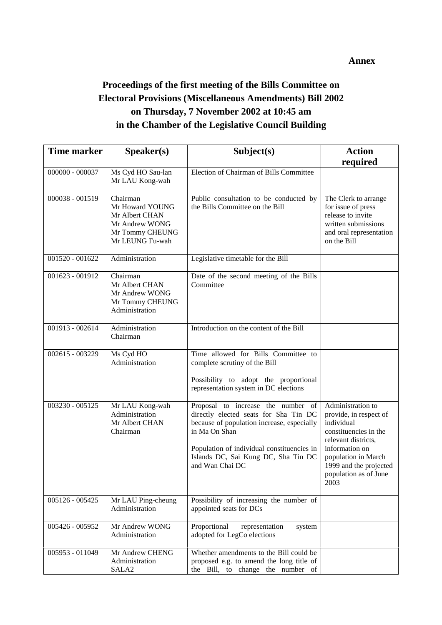# **Proceedings of the first meeting of the Bills Committee on Electoral Provisions (Miscellaneous Amendments) Bill 2002 on Thursday, 7 November 2002 at 10:45 am in the Chamber of the Legislative Council Building**

| <b>Time marker</b> | Speaker(s)                                                                                            | Subject(s)                                                                                                                                                                                                                                         | <b>Action</b>                                                                                                                                                                                                 |
|--------------------|-------------------------------------------------------------------------------------------------------|----------------------------------------------------------------------------------------------------------------------------------------------------------------------------------------------------------------------------------------------------|---------------------------------------------------------------------------------------------------------------------------------------------------------------------------------------------------------------|
|                    |                                                                                                       |                                                                                                                                                                                                                                                    | required                                                                                                                                                                                                      |
| 000000 - 000037    | Ms Cyd HO Sau-lan<br>Mr LAU Kong-wah                                                                  | Election of Chairman of Bills Committee                                                                                                                                                                                                            |                                                                                                                                                                                                               |
| 000038 - 001519    | Chairman<br>Mr Howard YOUNG<br>Mr Albert CHAN<br>Mr Andrew WONG<br>Mr Tommy CHEUNG<br>Mr LEUNG Fu-wah | Public consultation to be conducted by<br>the Bills Committee on the Bill                                                                                                                                                                          | The Clerk to arrange<br>for issue of press<br>release to invite<br>written submissions<br>and oral representation<br>on the Bill                                                                              |
| 001520 - 001622    | Administration                                                                                        | Legislative timetable for the Bill                                                                                                                                                                                                                 |                                                                                                                                                                                                               |
| 001623 - 001912    | Chairman<br>Mr Albert CHAN<br>Mr Andrew WONG<br>Mr Tommy CHEUNG<br>Administration                     | Date of the second meeting of the Bills<br>Committee                                                                                                                                                                                               |                                                                                                                                                                                                               |
| 001913 - 002614    | Administration<br>Chairman                                                                            | Introduction on the content of the Bill                                                                                                                                                                                                            |                                                                                                                                                                                                               |
| 002615 - 003229    | Ms Cyd HO<br>Administration                                                                           | Time allowed for Bills Committee to<br>complete scrutiny of the Bill<br>Possibility to adopt the proportional<br>representation system in DC elections                                                                                             |                                                                                                                                                                                                               |
| 003230 - 005125    | Mr LAU Kong-wah<br>Administration<br>Mr Albert CHAN<br>Chairman                                       | Proposal to increase the number of<br>directly elected seats for Sha Tin DC<br>because of population increase, especially<br>in Ma On Shan<br>Population of individual constituencies in<br>Islands DC, Sai Kung DC, Sha Tin DC<br>and Wan Chai DC | Administration to<br>provide, in respect of<br>individual<br>constituencies in the<br>relevant districts,<br>information on<br>population in March<br>1999 and the projected<br>population as of June<br>2003 |
| 005126 - 005425    | Mr LAU Ping-cheung<br>Administration                                                                  | Possibility of increasing the number of<br>appointed seats for DCs                                                                                                                                                                                 |                                                                                                                                                                                                               |
| $005426 - 005952$  | Mr Andrew WONG<br>Administration                                                                      | Proportional<br>representation<br>system<br>adopted for LegCo elections                                                                                                                                                                            |                                                                                                                                                                                                               |
| 005953 - 011049    | Mr Andrew CHENG<br>Administration<br>SALA <sub>2</sub>                                                | Whether amendments to the Bill could be<br>proposed e.g. to amend the long title of<br>the Bill, to change the number of                                                                                                                           |                                                                                                                                                                                                               |